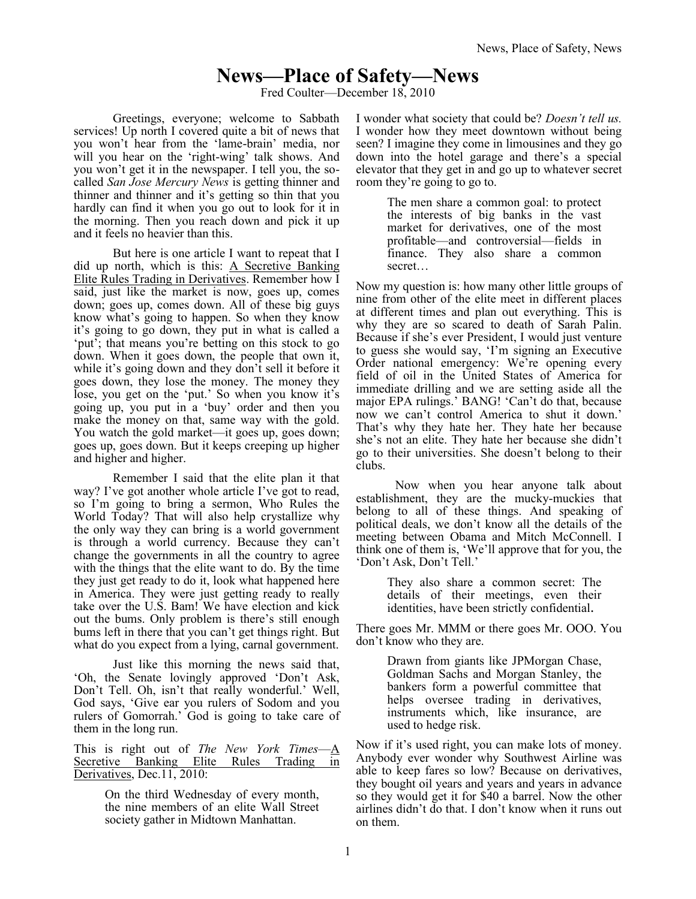# **News—Place of Safety—News**

Fred Coulter—December 18, 2010

Greetings, everyone; welcome to Sabbath services! Up north I covered quite a bit of news that you won't hear from the 'lame-brain' media, nor will you hear on the 'right-wing' talk shows. And you won't get it in the newspaper. I tell you, the socalled *San Jose Mercury News* is getting thinner and thinner and thinner and it's getting so thin that you hardly can find it when you go out to look for it in the morning. Then you reach down and pick it up and it feels no heavier than this.

But here is one article I want to repeat that I did up north, which is this: A Secretive Banking Elite Rules Trading in Derivatives. Remember how I said, just like the market is now, goes up, comes down; goes up, comes down. All of these big guys know what's going to happen. So when they know it's going to go down, they put in what is called a 'put'; that means you're betting on this stock to go down. When it goes down, the people that own it, while it's going down and they don't sell it before it goes down, they lose the money. The money they lose, you get on the 'put.' So when you know it's going up, you put in a 'buy' order and then you make the money on that, same way with the gold. You watch the gold market—it goes up, goes down; goes up, goes down. But it keeps creeping up higher and higher and higher.

Remember I said that the elite plan it that way? I've got another whole article I've got to read, so I'm going to bring a sermon, Who Rules the World Today? That will also help crystallize why the only way they can bring is a world government is through a world currency. Because they can't change the governments in all the country to agree with the things that the elite want to do. By the time they just get ready to do it, look what happened here in America. They were just getting ready to really take over the U.S. Bam! We have election and kick out the bums. Only problem is there's still enough bums left in there that you can't get things right. But what do you expect from a lying, carnal government.

Just like this morning the news said that, 'Oh, the Senate lovingly approved 'Don't Ask, Don't Tell. Oh, isn't that really wonderful.' Well, God says, 'Give ear you rulers of Sodom and you rulers of Gomorrah.' God is going to take care of them in the long run.

This is right out of *The New York Times*—A Secretive Banking Elite Rules Trading in Derivatives, Dec.11, 2010:

> On the third Wednesday of every month, the nine members of an elite Wall Street society gather in Midtown Manhattan.

I wonder what society that could be? *Doesn't tell us.* I wonder how they meet downtown without being seen? I imagine they come in limousines and they go down into the hotel garage and there's a special elevator that they get in and go up to whatever secret room they're going to go to.

> The men share a common goal: to protect the interests of big banks in the vast market for derivatives, one of the most profitable—and controversial—fields in finance. They also share a common secret…

Now my question is: how many other little groups of nine from other of the elite meet in different places at different times and plan out everything. This is why they are so scared to death of Sarah Palin. Because if she's ever President, I would just venture to guess she would say, 'I'm signing an Executive Order national emergency: We're opening every field of oil in the United States of America for immediate drilling and we are setting aside all the major EPA rulings.' BANG! 'Can't do that, because now we can't control America to shut it down.' That's why they hate her. They hate her because she's not an elite. They hate her because she didn't go to their universities. She doesn't belong to their clubs.

Now when you hear anyone talk about establishment, they are the mucky-muckies that belong to all of these things. And speaking of political deals, we don't know all the details of the meeting between Obama and Mitch McConnell. I think one of them is, 'We'll approve that for you, the 'Don't Ask, Don't Tell.'

> They also share a common secret: The details of their meetings, even their identities, have been strictly confidential.

There goes Mr. MMM or there goes Mr. OOO. You don't know who they are.

> Drawn from giants like [JPMorgan Chase,](http://topics.nytimes.com/top/news/business/companies/morgan_j_p_chase_and_company/index.html?inline=nyt-org) [Goldman Sachs](http://topics.nytimes.com/top/news/business/companies/goldman_sachs_group_inc/index.html?inline=nyt-org) and [Morgan Stanley,](http://topics.nytimes.com/top/news/business/companies/morgan_stanley/index.html?inline=nyt-org) the bankers form a powerful committee that helps oversee trading in derivatives, instruments which, like insurance, are used to hedge risk.

Now if it's used right, you can make lots of money. Anybody ever wonder why Southwest Airline was able to keep fares so low? Because on derivatives, they bought oil years and years and years in advance so they would get it for \$40 a barrel. Now the other airlines didn't do that. I don't know when it runs out on them.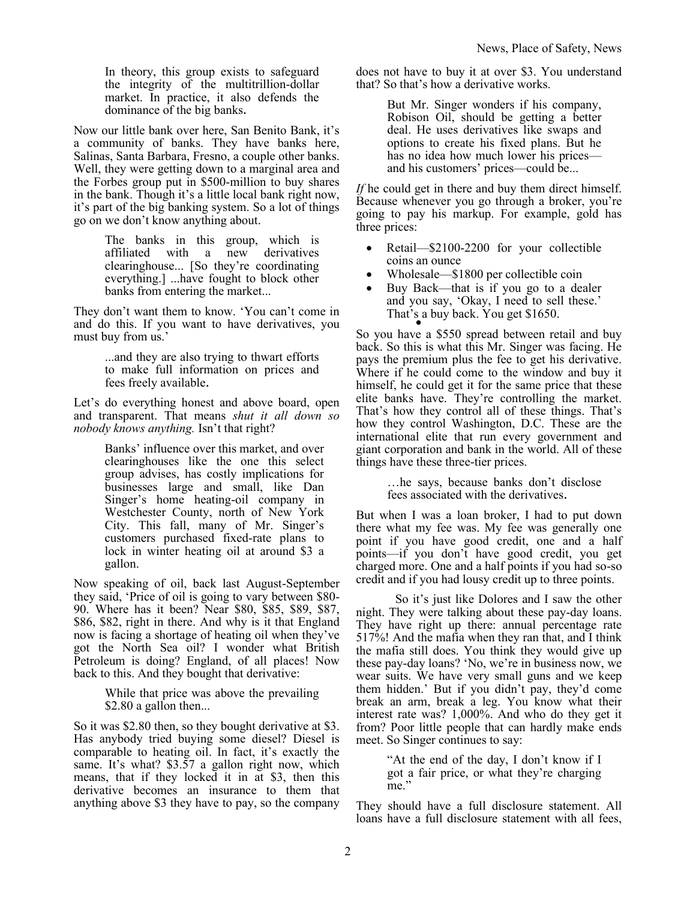In theory, this group exists to safeguard the integrity of the multitrillion-dollar market. In practice, it also defends the dominance of the big banks.

Now our little bank over here, San Benito Bank, it's a community of banks. They have banks here, Salinas, Santa Barbara, Fresno, a couple other banks. Well, they were getting down to a marginal area and the Forbes group put in \$500-million to buy shares in the bank. Though it's a little local bank right now, it's part of the big banking system. So a lot of things go on we don't know anything about.

> The banks in this group, which is affiliated with a new derivatives clearinghouse... [So they're coordinating everything.] ...have fought to block other banks from entering the market...

They don't want them to know. 'You can't come in and do this. If you want to have derivatives, you must buy from us.'

> ...and they are also trying to thwart efforts to make full information on prices and fees freely available.

Let's do everything honest and above board, open and transparent. That means *shut it all down so nobody knows anything.* Isn't that right?

> Banks' influence over this market, and over clearinghouses like the one this select group advises, has costly implications for businesses large and small, like Dan Singer's home heating-oil company in Westchester County, north of New York City. This fall, many of Mr. Singer's customers purchased fixed-rate plans to lock in winter [heating oil](http://topics.nytimes.com/top/reference/timestopics/subjects/h/heating_oil/index.html?inline=nyt-classifier) at around \$3 a gallon.

Now speaking of oil, back last August-September they said, 'Price of oil is going to vary between \$80- 90. Where has it been? Near \$80, \$85, \$89, \$87, \$86, \$82, right in there. And why is it that England now is facing a shortage of heating oil when they've got the North Sea oil? I wonder what British Petroleum is doing? England, of all places! Now back to this. And they bought that derivative:

> While that price was above the prevailing \$2.80 a gallon then...

So it was \$2.80 then, so they bought derivative at \$3. Has anybody tried buying some diesel? Diesel is comparable to heating oil. In fact, it's exactly the same. It's what? \$3.57 a gallon right now, which means, that if they locked it in at \$3, then this derivative becomes an insurance to them that anything above \$3 they have to pay, so the company does not have to buy it at over \$3. You understand that? So that's how a derivative works.

> But Mr. Singer wonders if his company, Robison Oil, should be getting a better deal. He uses derivatives like swaps and options to create his fixed plans. But he has no idea how much lower his prices and his customers' prices—could be...

*If* he could get in there and buy them direct himself. Because whenever you go through a broker, you're going to pay his markup. For example, gold has three prices:

- Retail—\$2100-2200 for your collectible coins an ounce
- Wholesale—\$1800 per collectible coin
- Buy Back—that is if you go to a dealer and you say, 'Okay, I need to sell these.' That's a buy back. You get \$1650.

So you have a \$550 spread between retail and buy back. So this is what this Mr. Singer was facing. He pays the premium plus the fee to get his derivative. Where if he could come to the window and buy it himself, he could get it for the same price that these elite banks have. They're controlling the market. That's how they control all of these things. That's how they control Washington, D.C. These are the international elite that run every government and giant corporation and bank in the world. All of these things have these three-tier prices.

> …he says, because banks don't disclose fees associated with the derivatives.

But when I was a loan broker, I had to put down there what my fee was. My fee was generally one point if you have good credit, one and a half points—if you don't have good credit, you get charged more. One and a half points if you had so-so credit and if you had lousy credit up to three points.

So it's just like Dolores and I saw the other night. They were talking about these pay-day loans. They have right up there: annual percentage rate 517%! And the mafia when they ran that, and I think the mafia still does. You think they would give up these pay-day loans? 'No, we're in business now, we wear suits. We have very small guns and we keep them hidden.' But if you didn't pay, they'd come break an arm, break a leg. You know what their interest rate was? 1,000%. And who do they get it from? Poor little people that can hardly make ends meet. So Singer continues to say:

> "At the end of the day, I don't know if I got a fair price, or what they're charging me."

They should have a full disclosure statement. All loans have a full disclosure statement with all fees,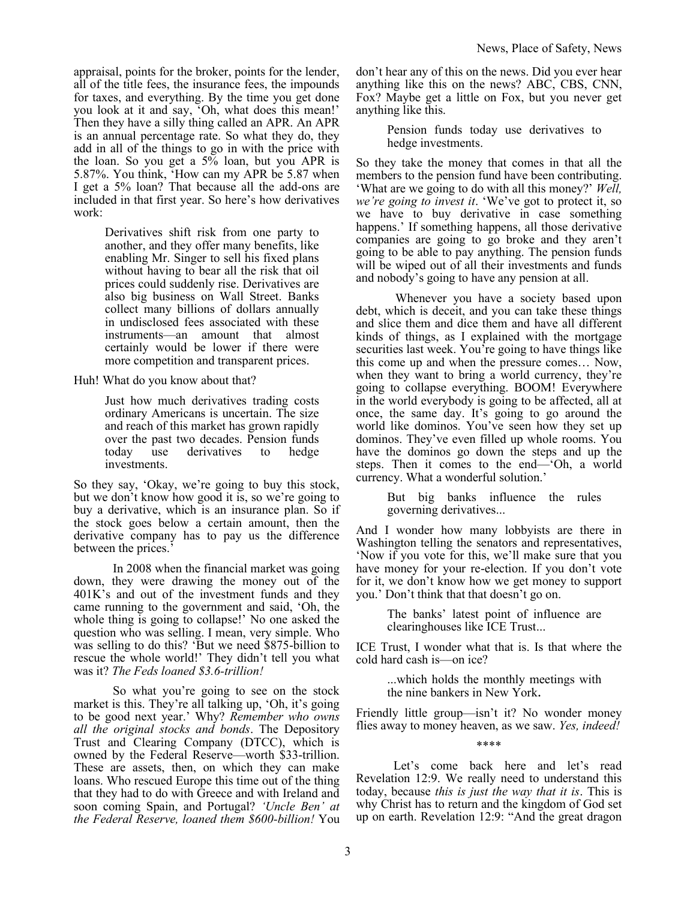appraisal, points for the broker, points for the lender, all of the title fees, the insurance fees, the impounds for taxes, and everything. By the time you get done you look at it and say, 'Oh, what does this mean!' Then they have a silly thing called an APR. An APR is an annual percentage rate. So what they do, they add in all of the things to go in with the price with the loan. So you get a 5% loan, but you APR is 5.87%. You think, 'How can my APR be 5.87 when I get a 5% loan? That because all the add-ons are included in that first year. So here's how derivatives work:

> Derivatives shift risk from one party to another, and they offer many benefits, like enabling Mr. Singer to sell his fixed plans without having to bear all the risk that oil prices could suddenly rise. Derivatives are also big business on Wall Street. Banks collect many billions of dollars annually in undisclosed fees associated with these instruments—an amount that almost certainly would be lower if there were more competition and transparent prices.

Huh! What do you know about that?

Just how much derivatives trading costs ordinary Americans is uncertain. The size and reach of this market has grown rapidly over the past two decades. Pension funds today use derivatives to hedge investments.

So they say, 'Okay, we're going to buy this stock, but we don't know how good it is, so we're going to buy a derivative, which is an insurance plan. So if the stock goes below a certain amount, then the derivative company has to pay us the difference between the prices.'

In 2008 when the financial market was going down, they were drawing the money out of the 401K's and out of the investment funds and they came running to the government and said, 'Oh, the whole thing is going to collapse!' No one asked the question who was selling. I mean, very simple. Who was selling to do this? 'But we need \$875-billion to rescue the whole world!' They didn't tell you what was it? *The Feds loaned \$3.6-trillion!*

So what you're going to see on the stock market is this. They're all talking up, 'Oh, it's going to be good next year.' Why? *Remember who owns all the original stocks and bonds*. The Depository Trust and Clearing Company (DTCC), which is owned by the Federal Reserve—worth \$33-trillion. These are assets, then, on which they can make loans. Who rescued Europe this time out of the thing that they had to do with Greece and with Ireland and soon coming Spain, and Portugal? *'Uncle Ben' at the Federal Reserve, loaned them \$600-billion!* You don't hear any of this on the news. Did you ever hear anything like this on the news? ABC, CBS, CNN, Fox? Maybe get a little on Fox, but you never get anything like this.

> Pension funds today use derivatives to hedge investments.

So they take the money that comes in that all the members to the pension fund have been contributing. 'What are we going to do with all this money?' *Well, we're going to invest it*. 'We've got to protect it, so we have to buy derivative in case something happens.' If something happens, all those derivative companies are going to go broke and they aren't going to be able to pay anything. The pension funds will be wiped out of all their investments and funds and nobody's going to have any pension at all.

Whenever you have a society based upon debt, which is deceit, and you can take these things and slice them and dice them and have all different kinds of things, as I explained with the mortgage securities last week. You're going to have things like this come up and when the pressure comes… Now, when they want to bring a world currency, they're going to collapse everything. BOOM! Everywhere in the world everybody is going to be affected, all at once, the same day. It's going to go around the world like dominos. You've seen how they set up dominos. They've even filled up whole rooms. You have the dominos go down the steps and up the steps. Then it comes to the end—'Oh, a world currency. What a wonderful solution.'

> But big banks influence the rules governing derivatives...

And I wonder how many lobbyists are there in Washington telling the senators and representatives, 'Now if you vote for this, we'll make sure that you have money for your re-election. If you don't vote for it, we don't know how we get money to support you.' Don't think that that doesn't go on.

> The banks' latest point of influence are clearinghouses like ICE Trust...

ICE Trust, I wonder what that is. Is that where the cold hard cash is—on ice?

> ...which holds the monthly meetings with the nine bankers in New York.

Friendly little group—isn't it? No wonder money flies away to money heaven, as we saw. *Yes, indeed!*

\*\*\*\*

Let's come back here and let's read Revelation 12:9. We really need to understand this today, because *this is just the way that it is*. This is why Christ has to return and the kingdom of God set up on earth. Revelation 12:9: "And the great dragon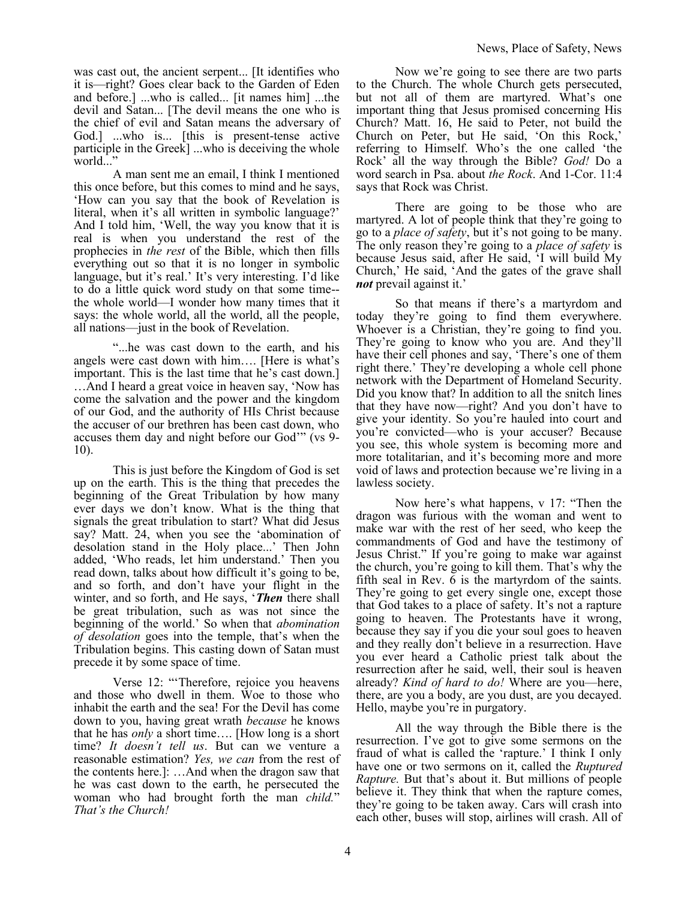was cast out, the ancient serpent... [It identifies who it is—right? Goes clear back to the Garden of Eden and before.] ...who is called... [it names him] ...the devil and Satan... [The devil means the one who is the chief of evil and Satan means the adversary of God.] ...who is... [this is present-tense active participle in the Greek] ...who is deceiving the whole world...'

A man sent me an email, I think I mentioned this once before, but this comes to mind and he says, 'How can you say that the book of Revelation is literal, when it's all written in symbolic language?' And I told him, 'Well, the way you know that it is real is when you understand the rest of the prophecies in *the rest* of the Bible, which then fills everything out so that it is no longer in symbolic language, but it's real.' It's very interesting. I'd like to do a little quick word study on that some time- the whole world—I wonder how many times that it says: the whole world, all the world, all the people, all nations—just in the book of Revelation.

"...he was cast down to the earth, and his angels were cast down with him…. [Here is what's important. This is the last time that he's cast down.] …And I heard a great voice in heaven say, 'Now has come the salvation and the power and the kingdom of our God, and the authority of HIs Christ because the accuser of our brethren has been cast down, who accuses them day and night before our God'" (vs 9- 10).

This is just before the Kingdom of God is set up on the earth. This is the thing that precedes the beginning of the Great Tribulation by how many ever days we don't know. What is the thing that signals the great tribulation to start? What did Jesus say? Matt. 24, when you see the 'abomination of desolation stand in the Holy place...' Then John added, 'Who reads, let him understand.' Then you read down, talks about how difficult it's going to be, and so forth, and don't have your flight in the winter, and so forth, and He says, '*Then* there shall be great tribulation, such as was not since the beginning of the world.' So when that *abomination of desolation* goes into the temple, that's when the Tribulation begins. This casting down of Satan must precede it by some space of time.

Verse 12: "'Therefore, rejoice you heavens and those who dwell in them. Woe to those who inhabit the earth and the sea! For the Devil has come down to you, having great wrath *because* he knows that he has *only* a short time…. [How long is a short time? *It doesn't tell us*. But can we venture a reasonable estimation? *Yes, we can* from the rest of the contents here.]: …And when the dragon saw that he was cast down to the earth, he persecuted the woman who had brought forth the man *child.*" *That's the Church!*

Now we're going to see there are two parts to the Church. The whole Church gets persecuted, but not all of them are martyred. What's one important thing that Jesus promised concerning His Church? Matt. 16, He said to Peter, not build the Church on Peter, but He said, 'On this Rock,' referring to Himself. Who's the one called 'the Rock' all the way through the Bible? *God!* Do a word search in Psa. about *the Rock*. And 1-Cor. 11:4 says that Rock was Christ.

There are going to be those who are martyred. A lot of people think that they're going to go to a *place of safety*, but it's not going to be many. The only reason they're going to a *place of safety* is because Jesus said, after He said, 'I will build My Church,' He said, 'And the gates of the grave shall *not* prevail against it.'

So that means if there's a martyrdom and today they're going to find them everywhere. Whoever is a Christian, they're going to find you. They're going to know who you are. And they'll have their cell phones and say, 'There's one of them right there.' They're developing a whole cell phone network with the Department of Homeland Security. Did you know that? In addition to all the snitch lines that they have now—right? And you don't have to give your identity. So you're hauled into court and you're convicted—who is your accuser? Because you see, this whole system is becoming more and more totalitarian, and it's becoming more and more void of laws and protection because we're living in a lawless society.

Now here's what happens, v 17: "Then the dragon was furious with the woman and went to make war with the rest of her seed, who keep the commandments of God and have the testimony of Jesus Christ." If you're going to make war against the church, you're going to kill them. That's why the fifth seal in Rev. 6 is the martyrdom of the saints. They're going to get every single one, except those that God takes to a place of safety. It's not a rapture going to heaven. The Protestants have it wrong, because they say if you die your soul goes to heaven and they really don't believe in a resurrection. Have you ever heard a Catholic priest talk about the resurrection after he said, well, their soul is heaven already? *Kind of hard to do!* Where are you—here, there, are you a body, are you dust, are you decayed. Hello, maybe you're in purgatory.

All the way through the Bible there is the resurrection. I've got to give some sermons on the fraud of what is called the 'rapture.' I think I only have one or two sermons on it, called the *Ruptured Rapture.* But that's about it. But millions of people believe it. They think that when the rapture comes, they're going to be taken away. Cars will crash into each other, buses will stop, airlines will crash. All of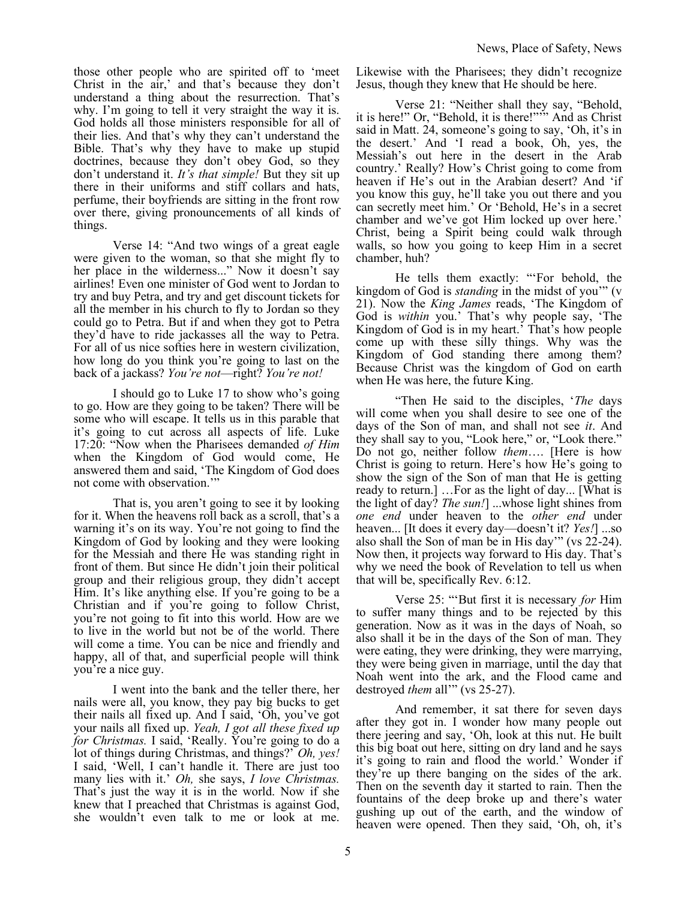those other people who are spirited off to 'meet Christ in the air,' and that's because they don't understand a thing about the resurrection. That's why. I'm going to tell it very straight the way it is. God holds all those ministers responsible for all of their lies. And that's why they can't understand the Bible. That's why they have to make up stupid doctrines, because they don't obey God, so they don't understand it. *It's that simple!* But they sit up there in their uniforms and stiff collars and hats, perfume, their boyfriends are sitting in the front row over there, giving pronouncements of all kinds of things.

Verse 14: "And two wings of a great eagle were given to the woman, so that she might fly to her place in the wilderness..." Now it doesn't say airlines! Even one minister of God went to Jordan to try and buy Petra, and try and get discount tickets for all the member in his church to fly to Jordan so they could go to Petra. But if and when they got to Petra they'd have to ride jackasses all the way to Petra. For all of us nice softies here in western civilization, how long do you think you're going to last on the back of a jackass? *You're not*—right? *You're not!*

I should go to Luke 17 to show who's going to go. How are they going to be taken? There will be some who will escape. It tells us in this parable that it's going to cut across all aspects of life. Luke 17:20: "Now when the Pharisees demanded *of Him*  when the Kingdom of God would come, He answered them and said, 'The Kingdom of God does not come with observation.'"

That is, you aren't going to see it by looking for it. When the heavens roll back as a scroll, that's a warning it's on its way. You're not going to find the Kingdom of God by looking and they were looking for the Messiah and there He was standing right in front of them. But since He didn't join their political group and their religious group, they didn't accept Him. It's like anything else. If you're going to be a Christian and if you're going to follow Christ, you're not going to fit into this world. How are we to live in the world but not be of the world. There will come a time. You can be nice and friendly and happy, all of that, and superficial people will think you're a nice guy.

I went into the bank and the teller there, her nails were all, you know, they pay big bucks to get their nails all fixed up. And I said, 'Oh, you've got your nails all fixed up. *Yeah, I got all these fixed up for Christmas.* I said, 'Really. You're going to do a lot of things during Christmas, and things?' *Oh, yes!* I said, 'Well, I can't handle it. There are just too many lies with it.' *Oh,* she says, *I love Christmas.* That's just the way it is in the world. Now if she knew that I preached that Christmas is against God, she wouldn't even talk to me or look at me.

Likewise with the Pharisees; they didn't recognize Jesus, though they knew that He should be here.

Verse 21: "Neither shall they say, "Behold, it is here!" Or, "Behold, it is there!"'" And as Christ said in Matt. 24, someone's going to say, 'Oh, it's in the desert.' And 'I read a book, Oh, yes, the Messiah's out here in the desert in the Arab country.' Really? How's Christ going to come from heaven if He's out in the Arabian desert? And 'if you know this guy, he'll take you out there and you can secretly meet him.' Or 'Behold, He's in a secret chamber and we've got Him locked up over here.' Christ, being a Spirit being could walk through walls, so how you going to keep Him in a secret chamber, huh?

He tells them exactly: "'For behold, the kingdom of God is *standing* in the midst of you'" (v 21). Now the *King James* reads, 'The Kingdom of God is *within* you.' That's why people say, 'The Kingdom of God is in my heart.' That's how people come up with these silly things. Why was the Kingdom of God standing there among them? Because Christ was the kingdom of God on earth when He was here, the future King.

"Then He said to the disciples, '*The* days will come when you shall desire to see one of the days of the Son of man, and shall not see *it*. And they shall say to you, "Look here," or, "Look there." Do not go, neither follow *them*…. [Here is how Christ is going to return. Here's how He's going to show the sign of the Son of man that He is getting ready to return.] …For as the light of day... [What is the light of day? *The sun!*] ...whose light shines from *one end* under heaven to the *other end* under heaven... [It does it every day—doesn't it? *Yes!*] ...so also shall the Son of man be in His day'" (vs 22-24). Now then, it projects way forward to His day. That's why we need the book of Revelation to tell us when that will be, specifically Rev. 6:12.

Verse 25: "'But first it is necessary *for* Him to suffer many things and to be rejected by this generation. Now as it was in the days of Noah, so also shall it be in the days of the Son of man. They were eating, they were drinking, they were marrying, they were being given in marriage, until the day that Noah went into the ark, and the Flood came and destroyed *them* all'" (vs 25-27).

And remember, it sat there for seven days after they got in. I wonder how many people out there jeering and say, 'Oh, look at this nut. He built this big boat out here, sitting on dry land and he says it's going to rain and flood the world.' Wonder if they're up there banging on the sides of the ark. Then on the seventh day it started to rain. Then the fountains of the deep broke up and there's water gushing up out of the earth, and the window of heaven were opened. Then they said, 'Oh, oh, it's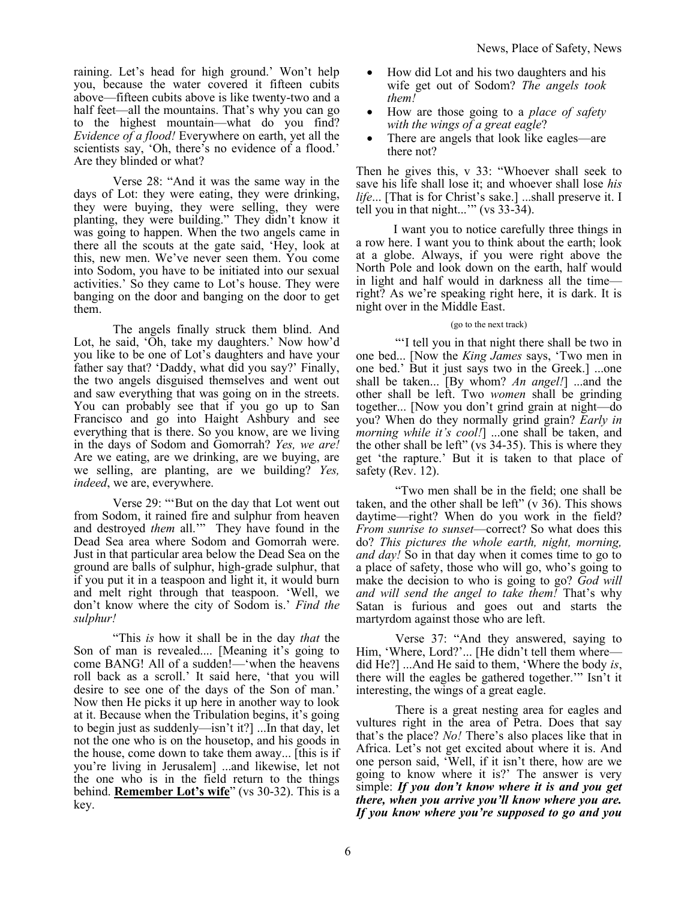raining. Let's head for high ground.' Won't help you, because the water covered it fifteen cubits above—fifteen cubits above is like twenty-two and a half feet—all the mountains. That's why you can go to the highest mountain—what do you find? *Evidence of a flood!* Everywhere on earth, yet all the scientists say, 'Oh, there's no evidence of a flood.' Are they blinded or what?

Verse 28: "And it was the same way in the days of Lot: they were eating, they were drinking, they were buying, they were selling, they were planting, they were building." They didn't know it was going to happen. When the two angels came in there all the scouts at the gate said, 'Hey, look at this, new men. We've never seen them. You come into Sodom, you have to be initiated into our sexual activities.' So they came to Lot's house. They were banging on the door and banging on the door to get them.

The angels finally struck them blind. And Lot, he said, 'Oh, take my daughters.' Now how'd you like to be one of Lot's daughters and have your father say that? 'Daddy, what did you say?' Finally, the two angels disguised themselves and went out and saw everything that was going on in the streets. You can probably see that if you go up to San Francisco and go into Haight Ashbury and see everything that is there. So you know, are we living in the days of Sodom and Gomorrah? *Yes, we are!*  Are we eating, are we drinking, are we buying, are we selling, are planting, are we building? *Yes, indeed*, we are, everywhere.

Verse 29: "'But on the day that Lot went out from Sodom, it rained fire and sulphur from heaven and destroyed *them* all.'" They have found in the Dead Sea area where Sodom and Gomorrah were. Just in that particular area below the Dead Sea on the ground are balls of sulphur, high-grade sulphur, that if you put it in a teaspoon and light it, it would burn and melt right through that teaspoon. 'Well, we don't know where the city of Sodom is.' *Find the sulphur!*

"This *is* how it shall be in the day *that* the Son of man is revealed.... [Meaning it's going to come BANG! All of a sudden!—'when the heavens roll back as a scroll.' It said here, 'that you will desire to see one of the days of the Son of man.' Now then He picks it up here in another way to look at it. Because when the Tribulation begins, it's going to begin just as suddenly—isn't it?] ...In that day, let not the one who is on the housetop, and his goods in the house, come down to take them away... [this is if you're living in Jerusalem] ...and likewise, let not the one who is in the field return to the things behind. **Remember Lot's wife**" (vs 30-32). This is a key.

- How did Lot and his two daughters and his wife get out of Sodom? *The angels took them!*
- How are those going to a *place of safety with the wings of a great eagle*?
- There are angels that look like eagles—are there not?

Then he gives this, v 33: "Whoever shall seek to save his life shall lose it; and whoever shall lose *his life*... [That is for Christ's sake.] ...shall preserve it. I tell you in that night...'" (vs 33-34).

I want you to notice carefully three things in a row here. I want you to think about the earth; look at a globe. Always, if you were right above the North Pole and look down on the earth, half would in light and half would in darkness all the time right? As we're speaking right here, it is dark. It is night over in the Middle East.

### (go to the next track)

"'I tell you in that night there shall be two in one bed... [Now the *King James* says, 'Two men in one bed.' But it just says two in the Greek.] ...one shall be taken... [By whom? *An angel!*] ...and the other shall be left. Two *women* shall be grinding together... [Now you don't grind grain at night—do you? When do they normally grind grain? *Early in morning while it's cool!*] ...one shall be taken, and the other shall be left" (vs 34-35). This is where they get 'the rapture.' But it is taken to that place of safety (Rev. 12).

"Two men shall be in the field; one shall be taken, and the other shall be left"  $(v 36)$ . This shows daytime—right? When do you work in the field? *From sunrise to sunset*—correct? So what does this do? *This pictures the whole earth, night, morning, and day!* So in that day when it comes time to go to a place of safety, those who will go, who's going to make the decision to who is going to go? *God will and will send the angel to take them!* That's why Satan is furious and goes out and starts the martyrdom against those who are left.

Verse 37: "And they answered, saying to Him, 'Where, Lord?'... [He didn't tell them where did He?] ...And He said to them, 'Where the body *is*, there will the eagles be gathered together.'" Isn't it interesting, the wings of a great eagle.

There is a great nesting area for eagles and vultures right in the area of Petra. Does that say that's the place? *No!* There's also places like that in Africa. Let's not get excited about where it is. And one person said, 'Well, if it isn't there, how are we going to know where it is?' The answer is very simple: *If you don't know where it is and you get there, when you arrive you'll know where you are. If you know where you're supposed to go and you*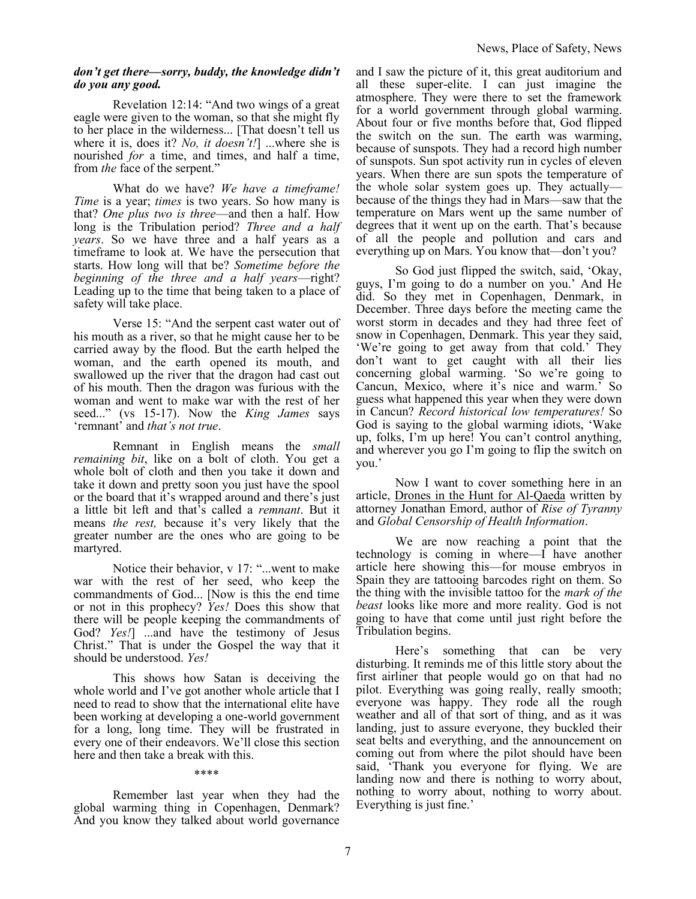#### *don't get there—sorry, buddy, the knowledge didn't do you any good.*

Revelation 12:14: "And two wings of a great eagle were given to the woman, so that she might fly to her place in the wilderness... [That doesn't tell us where it is, does it? *No, it doesn't!*] ...where she is nourished *for* a time, and times, and half a time, from *the* face of the serpent."

What do we have? *We have a timeframe! Time* is a year; *times* is two years. So how many is that? *One plus two is three*—and then a half. How long is the Tribulation period? *Three and a half years*. So we have three and a half years as a timeframe to look at. We have the persecution that starts. How long will that be? *Sometime before the beginning of the three and a half years*—right? Leading up to the time that being taken to a place of safety will take place.

Verse 15: "And the serpent cast water out of his mouth as a river, so that he might cause her to be carried away by the flood. But the earth helped the woman, and the earth opened its mouth, and swallowed up the river that the dragon had cast out of his mouth. Then the dragon was furious with the woman and went to make war with the rest of her seed..." (vs 15-17). Now the *King James* says 'remnant' and *that's not true*.

Remnant in English means the *small remaining bit*, like on a bolt of cloth. You get a whole bolt of cloth and then you take it down and take it down and pretty soon you just have the spool or the board that it's wrapped around and there's just a little bit left and that's called a *remnant*. But it means *the rest,* because it's very likely that the greater number are the ones who are going to be martyred.

Notice their behavior, v 17: "...went to make war with the rest of her seed, who keep the commandments of God... [Now is this the end time or not in this prophecy? *Yes!* Does this show that there will be people keeping the commandments of God? *Yes!*] ...and have the testimony of Jesus Christ." That is under the Gospel the way that it should be understood. *Yes!*

This shows how Satan is deceiving the whole world and I've got another whole article that I need to read to show that the international elite have been working at developing a one-world government for a long, long time. They will be frustrated in every one of their endeavors. We'll close this section here and then take a break with this.

#### \*\*\*\*

Remember last year when they had the global warming thing in Copenhagen, Denmark? And you know they talked about world governance

and I saw the picture of it, this great auditorium and all these super-elite. I can just imagine the atmosphere. They were there to set the framework for a world government through global warming. About four or five months before that, God flipped the switch on the sun. The earth was warming, because of sunspots. They had a record high number of sunspots. Sun spot activity run in cycles of eleven years. When there are sun spots the temperature of the whole solar system goes up. They actually because of the things they had in Mars—saw that the temperature on Mars went up the same number of degrees that it went up on the earth. That's because of all the people and pollution and cars and everything up on Mars. You know that—don't you?

So God just flipped the switch, said, 'Okay, guys, I'm going to do a number on you.' And He did. So they met in Copenhagen, Denmark, in December. Three days before the meeting came the worst storm in decades and they had three feet of snow in Copenhagen, Denmark. This year they said, 'We're going to get away from that cold.' They don't want to get caught with all their lies concerning global warming. 'So we're going to Cancun, Mexico, where it's nice and warm.' So guess what happened this year when they were down in Cancun? *Record historical low temperatures!* So God is saying to the global warming idiots, 'Wake up, folks, I'm up here! You can't control anything, and wherever you go I'm going to flip the switch on you.'

Now I want to cover something here in an article, Drones in the Hunt for Al-Qaeda written by attorney Jonathan Emord, author of *Rise of Tyranny* and *Global Censorship of Health Information*.

We are now reaching a point that the technology is coming in where—I have another article here showing this—for mouse embryos in Spain they are tattooing barcodes right on them. So the thing with the invisible tattoo for the *mark of the beast* looks like more and more reality. God is not going to have that come until just right before the Tribulation begins.

Here's something that can be very disturbing. It reminds me of this little story about the first airliner that people would go on that had no pilot. Everything was going really, really smooth; everyone was happy. They rode all the rough weather and all of that sort of thing, and as it was landing, just to assure everyone, they buckled their seat belts and everything, and the announcement on coming out from where the pilot should have been said, 'Thank you everyone for flying. We are landing now and there is nothing to worry about, nothing to worry about, nothing to worry about. Everything is just fine.'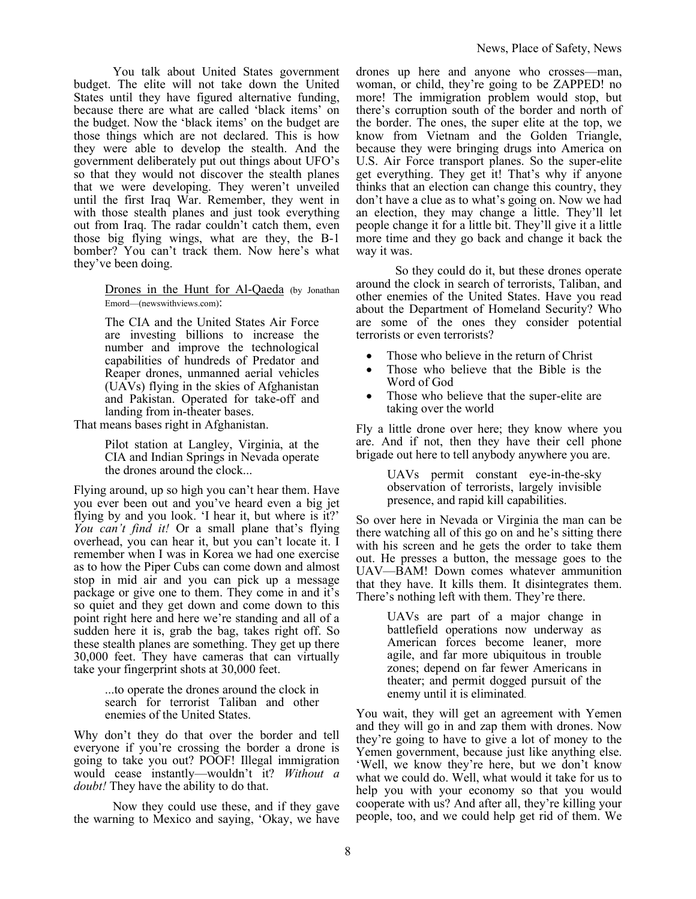You talk about United States government budget. The elite will not take down the United States until they have figured alternative funding, because there are what are called 'black items' on the budget. Now the 'black items' on the budget are those things which are not declared. This is how they were able to develop the stealth. And the government deliberately put out things about UFO's so that they would not discover the stealth planes that we were developing. They weren't unveiled until the first Iraq War. Remember, they went in with those stealth planes and just took everything out from Iraq. The radar couldn't catch them, even those big flying wings, what are they, the B-1 bomber? You can't track them. Now here's what they've been doing.

> Drones in the Hunt for Al-Qaeda (by Jonathan Emord—(newswithviews.com):

The CIA and the United States Air Force are investing billions to increase the number and improve the technological capabilities of hundreds of Predator and Reaper drones, unmanned aerial vehicles (UAVs) flying in the skies of Afghanistan and Pakistan. Operated for take-off and landing from in-theater bases.

That means bases right in Afghanistan.

Pilot station at Langley, Virginia, at the CIA and Indian Springs in Nevada operate the drones around the clock...

Flying around, up so high you can't hear them. Have you ever been out and you've heard even a big jet flying by and you look. 'I hear it, but where is it?' *You can't find it!* Or a small plane that's flying overhead, you can hear it, but you can't locate it. I remember when I was in Korea we had one exercise as to how the Piper Cubs can come down and almost stop in mid air and you can pick up a message package or give one to them. They come in and it's so quiet and they get down and come down to this point right here and here we're standing and all of a sudden here it is, grab the bag, takes right off. So these stealth planes are something. They get up there 30,000 feet. They have cameras that can virtually take your fingerprint shots at 30,000 feet.

> ...to operate the drones around the clock in search for terrorist Taliban and other enemies of the United States.

Why don't they do that over the border and tell everyone if you're crossing the border a drone is going to take you out? POOF! Illegal immigration would cease instantly—wouldn't it? *Without a doubt!* They have the ability to do that.

Now they could use these, and if they gave the warning to Mexico and saying, 'Okay, we have drones up here and anyone who crosses—man, woman, or child, they're going to be ZAPPED! no more! The immigration problem would stop, but there's corruption south of the border and north of the border. The ones, the super elite at the top, we know from Vietnam and the Golden Triangle, because they were bringing drugs into America on U.S. Air Force transport planes. So the super-elite get everything. They get it! That's why if anyone thinks that an election can change this country, they don't have a clue as to what's going on. Now we had an election, they may change a little. They'll let people change it for a little bit. They'll give it a little more time and they go back and change it back the way it was.

So they could do it, but these drones operate around the clock in search of terrorists, Taliban, and other enemies of the United States. Have you read about the Department of Homeland Security? Who are some of the ones they consider potential terrorists or even terrorists?

- Those who believe in the return of Christ
- Those who believe that the Bible is the Word of God
- Those who believe that the super-elite are taking over the world

Fly a little drone over here; they know where you are. And if not, then they have their cell phone brigade out here to tell anybody anywhere you are.

> UAVs permit constant eye-in-the-sky observation of terrorists, largely invisible presence, and rapid kill capabilities.

So over here in Nevada or Virginia the man can be there watching all of this go on and he's sitting there with his screen and he gets the order to take them out. He presses a button, the message goes to the UAV—BAM! Down comes whatever ammunition that they have. It kills them. It disintegrates them. There's nothing left with them. They're there.

> UAVs are part of a major change in battlefield operations now underway as American forces become leaner, more agile, and far more ubiquitous in trouble zones; depend on far fewer Americans in theater; and permit dogged pursuit of the enemy until it is eliminated.

You wait, they will get an agreement with Yemen and they will go in and zap them with drones. Now they're going to have to give a lot of money to the Yemen government, because just like anything else. 'Well, we know they're here, but we don't know what we could do. Well, what would it take for us to help you with your economy so that you would cooperate with us? And after all, they're killing your people, too, and we could help get rid of them. We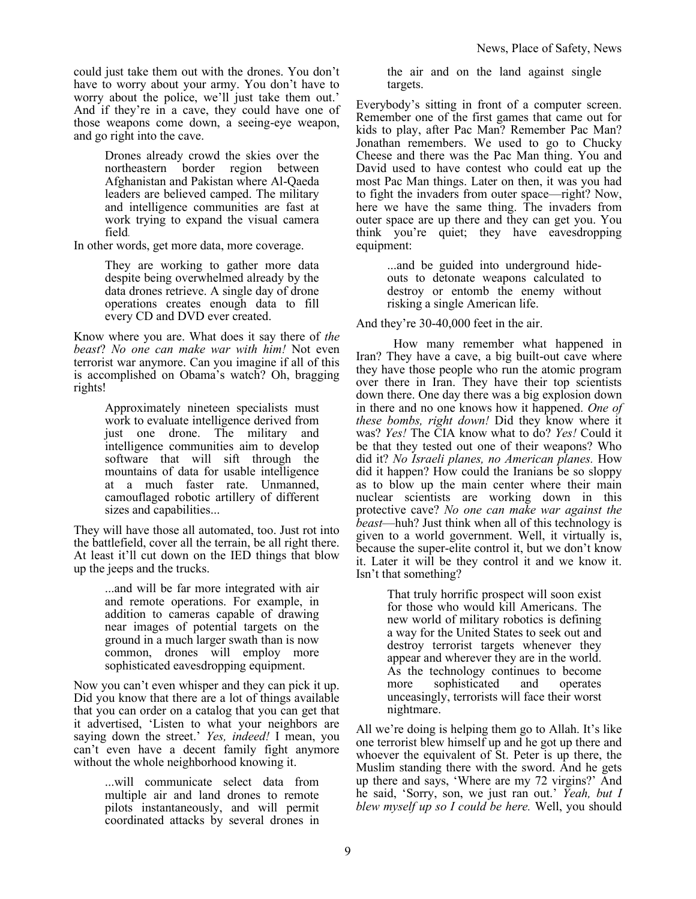could just take them out with the drones. You don't have to worry about your army. You don't have to worry about the police, we'll just take them out.' And if they're in a cave, they could have one of those weapons come down, a seeing-eye weapon, and go right into the cave.

> Drones already crowd the skies over the northeastern border region between Afghanistan and Pakistan where Al-Qaeda leaders are believed camped. The military and intelligence communities are fast at work trying to expand the visual camera field.

In other words, get more data, more coverage.

They are working to gather more data despite being overwhelmed already by the data drones retrieve. A single day of drone operations creates enough data to fill every CD and DVD ever created.

Know where you are. What does it say there of *the beast*? *No one can make war with him!* Not even terrorist war anymore. Can you imagine if all of this is accomplished on Obama's watch? Oh, bragging rights!

> Approximately nineteen specialists must work to evaluate intelligence derived from just one drone. The military and intelligence communities aim to develop software that will sift through the mountains of data for usable intelligence at a much faster rate. Unmanned, camouflaged robotic artillery of different sizes and capabilities...

They will have those all automated, too. Just rot into the battlefield, cover all the terrain, be all right there. At least it'll cut down on the IED things that blow up the jeeps and the trucks.

> ...and will be far more integrated with air and remote operations. For example, in addition to cameras capable of drawing near images of potential targets on the ground in a much larger swath than is now common, drones will employ more sophisticated eavesdropping equipment.

Now you can't even whisper and they can pick it up. Did you know that there are a lot of things available that you can order on a catalog that you can get that it advertised, 'Listen to what your neighbors are saying down the street.' *Yes, indeed!* I mean, you can't even have a decent family fight anymore without the whole neighborhood knowing it.

> ...will communicate select data from multiple air and land drones to remote pilots instantaneously, and will permit coordinated attacks by several drones in

the air and on the land against single targets.

Everybody's sitting in front of a computer screen. Remember one of the first games that came out for kids to play, after Pac Man? Remember Pac Man? Jonathan remembers. We used to go to Chucky Cheese and there was the Pac Man thing. You and David used to have contest who could eat up the most Pac Man things. Later on then, it was you had to fight the invaders from outer space—right? Now, here we have the same thing. The invaders from outer space are up there and they can get you. You think you're quiet; they have eavesdropping equipment:

> ...and be guided into underground hideouts to detonate weapons calculated to destroy or entomb the enemy without risking a single American life.

And they're 30-40,000 feet in the air.

How many remember what happened in Iran? They have a cave, a big built-out cave where they have those people who run the atomic program over there in Iran. They have their top scientists down there. One day there was a big explosion down in there and no one knows how it happened. *One of these bombs, right down!* Did they know where it was? *Yes!* The CIA know what to do? *Yes!* Could it be that they tested out one of their weapons? Who did it? *No Israeli planes, no American planes.* How did it happen? How could the Iranians be so sloppy as to blow up the main center where their main nuclear scientists are working down in this protective cave? *No one can make war against the beast*—huh? Just think when all of this technology is given to a world government. Well, it virtually is, because the super-elite control it, but we don't know it. Later it will be they control it and we know it. Isn't that something?

> That truly horrific prospect will soon exist for those who would kill Americans. The new world of military robotics is defining a way for the United States to seek out and destroy terrorist targets whenever they appear and wherever they are in the world. As the technology continues to become more sophisticated and operates unceasingly, terrorists will face their worst nightmare.

All we're doing is helping them go to Allah. It's like one terrorist blew himself up and he got up there and whoever the equivalent of St. Peter is up there, the Muslim standing there with the sword. And he gets up there and says, 'Where are my 72 virgins?' And he said, 'Sorry, son, we just ran out.' *Yeah, but I blew myself up so I could be here.* Well, you should